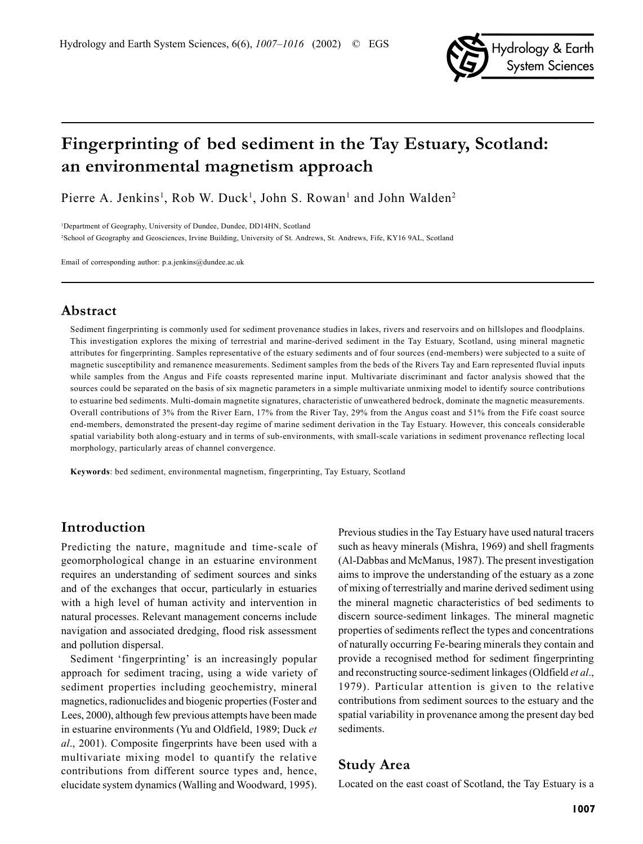

# **Fingerprinting of bed sediment in the Tay Estuary, Scotland: an environmental magnetism approach**

Pierre A. Jenkins<sup>1</sup>, Rob W. Duck<sup>1</sup>, John S. Rowan<sup>1</sup> and John Walden<sup>2</sup>

1 Department of Geography, University of Dundee, Dundee, DD14HN, Scotland 2 School of Geography and Geosciences, Irvine Building, University of St. Andrews, St. Andrews, Fife, KY16 9AL, Scotland

Email of corresponding author: p.a.jenkins@dundee.ac.uk

#### **Abstract**

Sediment fingerprinting is commonly used for sediment provenance studies in lakes, rivers and reservoirs and on hillslopes and floodplains. This investigation explores the mixing of terrestrial and marine-derived sediment in the Tay Estuary, Scotland, using mineral magnetic attributes for fingerprinting. Samples representative of the estuary sediments and of four sources (end-members) were subjected to a suite of magnetic susceptibility and remanence measurements. Sediment samples from the beds of the Rivers Tay and Earn represented fluvial inputs while samples from the Angus and Fife coasts represented marine input. Multivariate discriminant and factor analysis showed that the sources could be separated on the basis of six magnetic parameters in a simple multivariate unmixing model to identify source contributions to estuarine bed sediments. Multi-domain magnetite signatures, characteristic of unweathered bedrock, dominate the magnetic measurements. Overall contributions of 3% from the River Earn, 17% from the River Tay, 29% from the Angus coast and 51% from the Fife coast source end-members, demonstrated the present-day regime of marine sediment derivation in the Tay Estuary. However, this conceals considerable spatial variability both along-estuary and in terms of sub-environments, with small-scale variations in sediment provenance reflecting local morphology, particularly areas of channel convergence.

**Keywords**: bed sediment, environmental magnetism, fingerprinting, Tay Estuary, Scotland

### **Introduction**

Predicting the nature, magnitude and time-scale of geomorphological change in an estuarine environment requires an understanding of sediment sources and sinks and of the exchanges that occur, particularly in estuaries with a high level of human activity and intervention in natural processes. Relevant management concerns include navigation and associated dredging, flood risk assessment and pollution dispersal.

Sediment 'fingerprinting' is an increasingly popular approach for sediment tracing, using a wide variety of sediment properties including geochemistry, mineral magnetics, radionuclides and biogenic properties (Foster and Lees, 2000), although few previous attempts have been made in estuarine environments (Yu and Oldfield, 1989; Duck *et al*., 2001). Composite fingerprints have been used with a multivariate mixing model to quantify the relative contributions from different source types and, hence, elucidate system dynamics (Walling and Woodward, 1995).

Previous studies in the Tay Estuary have used natural tracers such as heavy minerals (Mishra, 1969) and shell fragments (Al-Dabbas and McManus, 1987). The present investigation aims to improve the understanding of the estuary as a zone of mixing of terrestrially and marine derived sediment using the mineral magnetic characteristics of bed sediments to discern source-sediment linkages. The mineral magnetic properties of sediments reflect the types and concentrations of naturally occurring Fe-bearing minerals they contain and provide a recognised method for sediment fingerprinting and reconstructing source-sediment linkages (Oldfield *et al*., 1979). Particular attention is given to the relative contributions from sediment sources to the estuary and the spatial variability in provenance among the present day bed sediments.

#### **Study Area**

Located on the east coast of Scotland, the Tay Estuary is a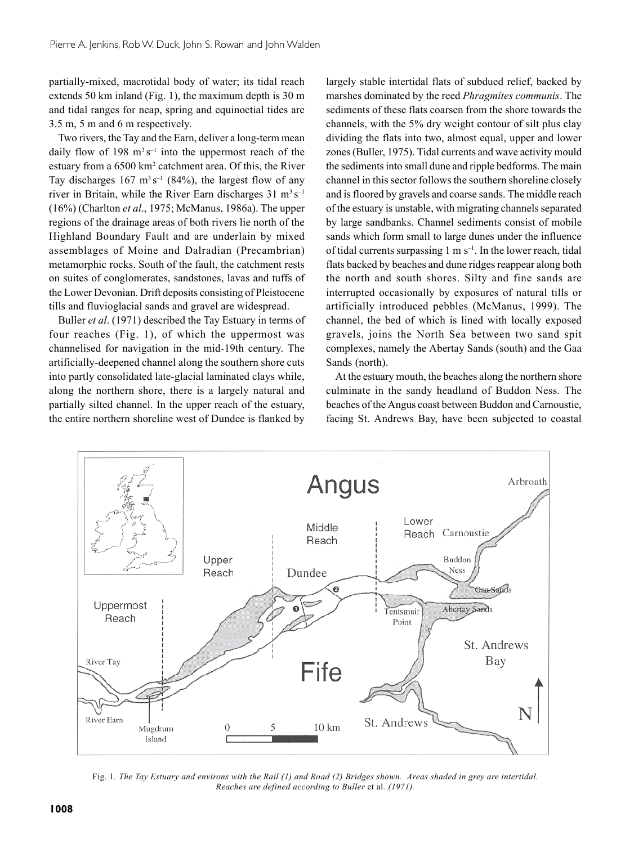partially-mixed, macrotidal body of water; its tidal reach extends 50 km inland (Fig. 1), the maximum depth is 30 m and tidal ranges for neap, spring and equinoctial tides are 3.5 m, 5 m and 6 m respectively.

Two rivers, the Tay and the Earn, deliver a long-term mean daily flow of 198  $m<sup>3</sup> s<sup>-1</sup>$  into the uppermost reach of the estuary from a 6500 km<sup>2</sup> catchment area. Of this, the River Tay discharges  $167 \text{ m}^3 \text{s}^{-1}$  (84%), the largest flow of any river in Britain, while the River Earn discharges  $31 \text{ m}^3 \text{ s}^{-1}$ (16%) (Charlton *et al*., 1975; McManus, 1986a). The upper regions of the drainage areas of both rivers lie north of the Highland Boundary Fault and are underlain by mixed assemblages of Moine and Dalradian (Precambrian) metamorphic rocks. South of the fault, the catchment rests on suites of conglomerates, sandstones, lavas and tuffs of the Lower Devonian. Drift deposits consisting of Pleistocene tills and fluvioglacial sands and gravel are widespread.

Buller *et al*. (1971) described the Tay Estuary in terms of four reaches (Fig. 1), of which the uppermost was channelised for navigation in the mid-19th century. The artificially-deepened channel along the southern shore cuts into partly consolidated late-glacial laminated clays while, along the northern shore, there is a largely natural and partially silted channel. In the upper reach of the estuary, the entire northern shoreline west of Dundee is flanked by

largely stable intertidal flats of subdued relief, backed by marshes dominated by the reed *Phragmites communis*. The sediments of these flats coarsen from the shore towards the channels, with the 5% dry weight contour of silt plus clay dividing the flats into two, almost equal, upper and lower zones (Buller, 1975). Tidal currents and wave activity mould the sediments into small dune and ripple bedforms. The main channel in this sector follows the southern shoreline closely and is floored by gravels and coarse sands. The middle reach of the estuary is unstable, with migrating channels separated by large sandbanks. Channel sediments consist of mobile sands which form small to large dunes under the influence of tidal currents surpassing  $1 \text{ m s}^{-1}$ . In the lower reach, tidal flats backed by beaches and dune ridges reappear along both the north and south shores. Silty and fine sands are interrupted occasionally by exposures of natural tills or artificially introduced pebbles (McManus, 1999). The channel, the bed of which is lined with locally exposed gravels, joins the North Sea between two sand spit complexes, namely the Abertay Sands (south) and the Gaa Sands (north).

At the estuary mouth, the beaches along the northern shore culminate in the sandy headland of Buddon Ness. The beaches of the Angus coast between Buddon and Carnoustie, facing St. Andrews Bay, have been subjected to coastal



Fig. 1*. The Tay Estuary and environs with the Rail (1) and Road (2) Bridges shown. Areas shaded in grey are intertidal. Reaches are defined according to Buller* et al*. (1971).*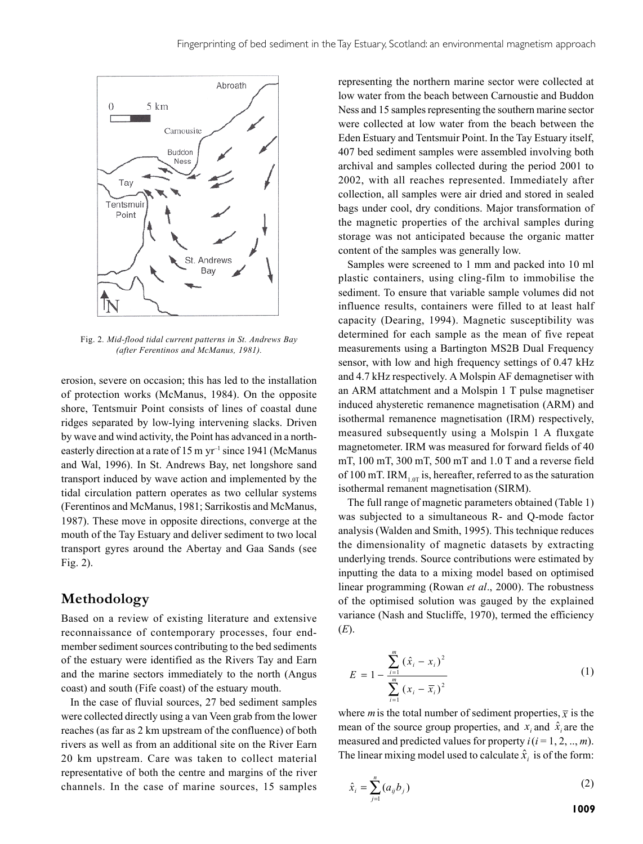

Fig. 2*. Mid-flood tidal current patterns in St. Andrews Bay (after Ferentinos and McManus, 1981).*

erosion, severe on occasion; this has led to the installation of protection works (McManus, 1984). On the opposite shore, Tentsmuir Point consists of lines of coastal dune ridges separated by low-lying intervening slacks. Driven by wave and wind activity, the Point has advanced in a northeasterly direction at a rate of 15 m  $yr^{-1}$  since 1941 (McManus and Wal, 1996). In St. Andrews Bay, net longshore sand transport induced by wave action and implemented by the tidal circulation pattern operates as two cellular systems (Ferentinos and McManus, 1981; Sarrikostis and McManus, 1987). These move in opposite directions, converge at the mouth of the Tay Estuary and deliver sediment to two local transport gyres around the Abertay and Gaa Sands (see Fig. 2).

#### **Methodology**

Based on a review of existing literature and extensive reconnaissance of contemporary processes, four endmember sediment sources contributing to the bed sediments of the estuary were identified as the Rivers Tay and Earn and the marine sectors immediately to the north (Angus coast) and south (Fife coast) of the estuary mouth.

In the case of fluvial sources, 27 bed sediment samples were collected directly using a van Veen grab from the lower reaches (as far as 2 km upstream of the confluence) of both rivers as well as from an additional site on the River Earn 20 km upstream. Care was taken to collect material representative of both the centre and margins of the river channels. In the case of marine sources, 15 samples representing the northern marine sector were collected at low water from the beach between Carnoustie and Buddon Ness and 15 samples representing the southern marine sector were collected at low water from the beach between the Eden Estuary and Tentsmuir Point. In the Tay Estuary itself, 407 bed sediment samples were assembled involving both archival and samples collected during the period 2001 to 2002, with all reaches represented. Immediately after collection, all samples were air dried and stored in sealed bags under cool, dry conditions. Major transformation of the magnetic properties of the archival samples during storage was not anticipated because the organic matter content of the samples was generally low.

Samples were screened to 1 mm and packed into 10 ml plastic containers, using cling-film to immobilise the sediment. To ensure that variable sample volumes did not influence results, containers were filled to at least half capacity (Dearing, 1994). Magnetic susceptibility was determined for each sample as the mean of five repeat measurements using a Bartington MS2B Dual Frequency sensor, with low and high frequency settings of 0.47 kHz and 4.7 kHz respectively. A Molspin AF demagnetiser with an ARM attatchment and a Molspin 1 T pulse magnetiser induced ahysteretic remanence magnetisation (ARM) and isothermal remanence magnetisation (IRM) respectively, measured subsequently using a Molspin 1 A fluxgate magnetometer. IRM was measured for forward fields of 40 mT, 100 mT, 300 mT, 500 mT and 1.0 T and a reverse field of 100 mT. IRM<sub>10T</sub> is, hereafter, referred to as the saturation isothermal remanent magnetisation (SIRM).

The full range of magnetic parameters obtained (Table 1) was subjected to a simultaneous R- and Q-mode factor analysis (Walden and Smith, 1995). This technique reduces the dimensionality of magnetic datasets by extracting underlying trends. Source contributions were estimated by inputting the data to a mixing model based on optimised linear programming (Rowan *et al*., 2000). The robustness of the optimised solution was gauged by the explained variance (Nash and Stucliffe, 1970), termed the efficiency (*E*).

$$
E = 1 - \frac{\sum_{i=1}^{m} (\hat{x}_i - x_i)^2}{\sum_{i=1}^{m} (x_i - \overline{x}_i)^2}
$$
 (1)

where *m* is the total number of sediment properties,  $\overline{x}$  is the mean of the source group properties, and  $\hat{x}_i$  and  $\hat{x}_i$  are the measured and predicted values for property  $i(i = 1, 2, ..., m)$ . The linear mixing model used to calculate  $\hat{x}$ , is of the form:

$$
\hat{x}_i = \sum_{j=1}^n (a_{ij} b_j)
$$
 (2)

**1009**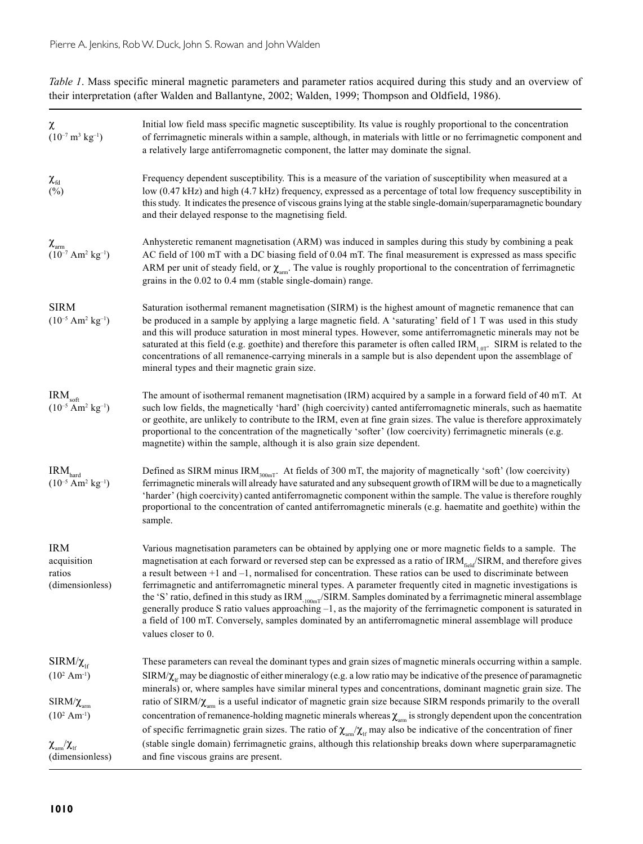*Table 1*. Mass specific mineral magnetic parameters and parameter ratios acquired during this study and an overview of their interpretation (after Walden and Ballantyne, 2002; Walden, 1999; Thompson and Oldfield, 1986).

| χ<br>$(10^{-7} \text{ m}^3 \text{ kg}^{-1})$                                                                                                                                 | Initial low field mass specific magnetic susceptibility. Its value is roughly proportional to the concentration<br>of ferrimagnetic minerals within a sample, although, in materials with little or no ferrimagnetic component and<br>a relatively large antiferromagnetic component, the latter may dominate the signal.                                                                                                                                                                                                                                                                                                                                                                                                                                                                                                                                                                                                               |
|------------------------------------------------------------------------------------------------------------------------------------------------------------------------------|-----------------------------------------------------------------------------------------------------------------------------------------------------------------------------------------------------------------------------------------------------------------------------------------------------------------------------------------------------------------------------------------------------------------------------------------------------------------------------------------------------------------------------------------------------------------------------------------------------------------------------------------------------------------------------------------------------------------------------------------------------------------------------------------------------------------------------------------------------------------------------------------------------------------------------------------|
| $\chi_{\text{fd}}$<br>$(\%)$                                                                                                                                                 | Frequency dependent susceptibility. This is a measure of the variation of susceptibility when measured at a<br>low (0.47 kHz) and high (4.7 kHz) frequency, expressed as a percentage of total low frequency susceptibility in<br>this study. It indicates the presence of viscous grains lying at the stable single-domain/superparamagnetic boundary<br>and their delayed response to the magnetising field.                                                                                                                                                                                                                                                                                                                                                                                                                                                                                                                          |
| $\chi_{\text{arm}}$<br>$(10^{-7}$ Am <sup>2</sup> kg <sup>-1</sup> )                                                                                                         | Anhysteretic remanent magnetisation (ARM) was induced in samples during this study by combining a peak<br>AC field of 100 mT with a DC biasing field of 0.04 mT. The final measurement is expressed as mass specific<br>ARM per unit of steady field, or $\chi_{arm}$ . The value is roughly proportional to the concentration of ferrimagnetic<br>grains in the 0.02 to 0.4 mm (stable single-domain) range.                                                                                                                                                                                                                                                                                                                                                                                                                                                                                                                           |
| <b>SIRM</b><br>$(10^{-5}$ Am <sup>2</sup> kg <sup>-1</sup> )                                                                                                                 | Saturation isothermal remanent magnetisation (SIRM) is the highest amount of magnetic remanence that can<br>be produced in a sample by applying a large magnetic field. A 'saturating' field of 1 T was used in this study<br>and this will produce saturation in most mineral types. However, some antiferromagnetic minerals may not be<br>saturated at this field (e.g. goethite) and therefore this parameter is often called $\text{IRM}_{10T}$ . SIRM is related to the<br>concentrations of all remanence-carrying minerals in a sample but is also dependent upon the assemblage of<br>mineral types and their magnetic grain size.                                                                                                                                                                                                                                                                                             |
| $IRM_{\text{soft}}$<br>$(10^{-5}$ Am <sup>2</sup> kg <sup>-1</sup> )                                                                                                         | The amount of isothermal remanent magnetisation (IRM) acquired by a sample in a forward field of 40 mT. At<br>such low fields, the magnetically 'hard' (high coercivity) canted antiferromagnetic minerals, such as haematite<br>or geothite, are unlikely to contribute to the IRM, even at fine grain sizes. The value is therefore approximately<br>proportional to the concentration of the magnetically 'softer' (low coercivity) ferrimagnetic minerals (e.g.<br>magnetite) within the sample, although it is also grain size dependent.                                                                                                                                                                                                                                                                                                                                                                                          |
| $\text{IRM}_{\text{hard}}$<br>$(10^{-5}$ Am <sup>2</sup> kg <sup>-1</sup> )                                                                                                  | Defined as SIRM minus $\text{IRM}_{300\text{mT}}$ . At fields of 300 mT, the majority of magnetically 'soft' (low coercivity)<br>ferrimagnetic minerals will already have saturated and any subsequent growth of IRM will be due to a magnetically<br>'harder' (high coercivity) canted antiferromagnetic component within the sample. The value is therefore roughly<br>proportional to the concentration of canted antiferromagnetic minerals (e.g. haematite and goethite) within the<br>sample.                                                                                                                                                                                                                                                                                                                                                                                                                                     |
| <b>IRM</b><br>acquisition<br>ratios<br>(dimensionless)                                                                                                                       | Various magnetisation parameters can be obtained by applying one or more magnetic fields to a sample. The<br>magnetisation at each forward or reversed step can be expressed as a ratio of IRM <sub>field</sub> /SIRM, and therefore gives<br>a result between +1 and -1, normalised for concentration. These ratios can be used to discriminate between<br>ferrimagnetic and antiferromagnetic mineral types. A parameter frequently cited in magnetic investigations is<br>the 'S' ratio, defined in this study as IRM <sub>-100mT</sub> /SIRM. Samples dominated by a ferrimagnetic mineral assemblage<br>generally produce S ratio values approaching -1, as the majority of the ferrimagnetic component is saturated in<br>a field of 100 mT. Conversely, samples dominated by an antiferromagnetic mineral assemblage will produce<br>values closer to 0.                                                                         |
| $SIRM\chi_{\text{lf}}$<br>$(10^2 \text{ Am}^{-1})$<br>$\text{SIRM}/\chi_{\text{arm}}$<br>$(10^2 \text{ Am}^{-1})$<br>$\chi_{\text{arm}}/\chi_{\text{lf}}$<br>(dimensionless) | These parameters can reveal the dominant types and grain sizes of magnetic minerals occurring within a sample.<br>$SIRM/\chi_{\text{lf}}$ may be diagnostic of either mineralogy (e.g. a low ratio may be indicative of the presence of paramagnetic<br>minerals) or, where samples have similar mineral types and concentrations, dominant magnetic grain size. The<br>ratio of SIRM/ $\chi_{\text{arm}}$ is a useful indicator of magnetic grain size because SIRM responds primarily to the overall<br>concentration of remanence-holding magnetic minerals whereas $\chi_{\text{arm}}$ is strongly dependent upon the concentration<br>of specific ferrimagnetic grain sizes. The ratio of $\chi_{am}/\chi_{\text{lf}}$ may also be indicative of the concentration of finer<br>(stable single domain) ferrimagnetic grains, although this relationship breaks down where superparamagnetic<br>and fine viscous grains are present. |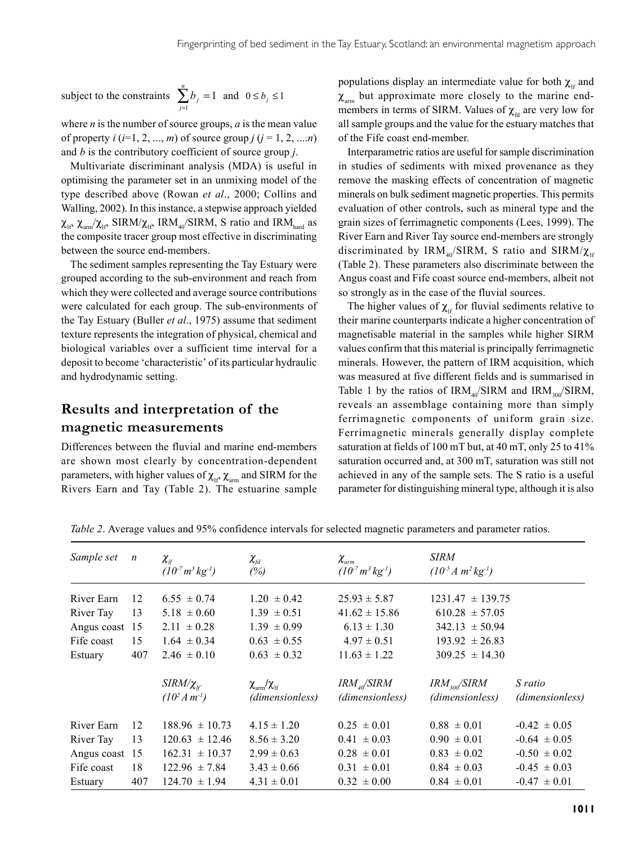subject to the constraints 
$$
\sum_{j=1}^{n} b_j = 1
$$
 and  $0 \le b_j \le 1$ 

where *n* is the number of source groups, *a* is the mean value of property *i* (*i*=1, 2, ..., *m*) of source group *j* (*j* = 1, 2, ....*n*) and *b* is the contributory coefficient of source group *j*.

Multivariate discriminant analysis (MDA) is useful in optimising the parameter set in an unmixing model of the type described above (Rowan *et al*., 2000; Collins and Walling, 2002). In this instance, a stepwise approach yielded  $\chi_{H}$ ,  $\chi_{arm}/\chi_{H}$ , SIRM/ $\chi_{H}$ , IRM<sub>40</sub>/SIRM, S ratio and IRM<sub>hard</sub> as the composite tracer group most effective in discriminating between the source end-members.

The sediment samples representing the Tay Estuary were grouped according to the sub-environment and reach from which they were collected and average source contributions were calculated for each group. The sub-environments of the Tay Estuary (Buller *et al*., 1975) assume that sediment texture represents the integration of physical, chemical and biological variables over a sufficient time interval for a deposit to become 'characteristic' of its particular hydraulic and hydrodynamic setting.

## **Results and interpretation of the magnetic measurements**

Differences between the fluvial and marine end-members are shown most clearly by concentration-dependent parameters, with higher values of  $\chi_{\text{IP}} \chi_{\text{arm}}$  and SIRM for the Rivers Earn and Tay (Table 2). The estuarine sample

populations display an intermediate value for both  $\chi_{\text{lf}}$  and  $\chi_{\text{arm}}$  but approximate more closely to the marine endmembers in terms of SIRM. Values of  $\chi_{\text{fd}}$  are very low for all sample groups and the value for the estuary matches that of the Fife coast end-member.

Interparametric ratios are useful for sample discrimination in studies of sediments with mixed provenance as they remove the masking effects of concentration of magnetic minerals on bulk sediment magnetic properties. This permits evaluation of other controls, such as mineral type and the grain sizes of ferrimagnetic components (Lees, 1999). The River Earn and River Tay source end-members are strongly discriminated by IRM<sub>40</sub>/SIRM, S ratio and SIRM/ $\chi_{\text{lf}}$ (Table 2). These parameters also discriminate between the Angus coast and Fife coast source end-members, albeit not so strongly as in the case of the fluvial sources.

The higher values of  $\chi_{\text{lf}}$  for fluvial sediments relative to their marine counterparts indicate a higher concentration of magnetisable material in the samples while higher SIRM values confirm that this material is principally ferrimagnetic minerals. However, the pattern of IRM acquisition, which was measured at five different fields and is summarised in Table 1 by the ratios of  $IRM_{40}/SIRM$  and  $IRM_{400}/SIRM$ , reveals an assemblage containing more than simply ferrimagnetic components of uniform grain size. Ferrimagnetic minerals generally display complete saturation at fields of 100 mT but, at 40 mT, only 25 to 41% saturation occurred and, at 300 mT, saturation was still not achieved in any of the sample sets. The S ratio is a useful parameter for distinguishing mineral type, although it is also

| Sample set     | $\boldsymbol{n}$ | $\chi_{\scriptscriptstyle l f}$<br>$(10^7 m^3 kg^1)$ | $\chi_{_{fd}}$<br>(%)                                   | $\chi_{_{arm}}$<br>$(10^7 m^3 kg^1)$ | <b>SIRM</b><br>$(10^5 A m^2 kg^{-1})$ |                            |
|----------------|------------------|------------------------------------------------------|---------------------------------------------------------|--------------------------------------|---------------------------------------|----------------------------|
| River Earn     | 12               | $6.55 \pm 0.74$                                      | $1.20 \pm 0.42$                                         | $25.93 \pm 5.87$                     | $1231.47 \pm 139.75$                  |                            |
| River Tay      | 13               | $5.18 \pm 0.60$                                      | $1.39 \pm 0.51$                                         | $41.62 \pm 15.86$                    | $610.28 \pm 57.05$                    |                            |
| Angus coast 15 |                  | $2.11 \pm 0.28$                                      | $1.39 \pm 0.99$                                         | $6.13 \pm 1.30$                      | $342.13 \pm 50.94$                    |                            |
| Fife coast     | 15               | $1.64 \pm 0.34$                                      | $0.63 \pm 0.55$                                         | $4.97 \pm 0.51$                      | $193.92 \pm 26.83$                    |                            |
| Estuary        | 407              | $2.46 \pm 0.10$                                      | $0.63 \pm 0.32$                                         | $11.63 \pm 1.22$                     | $309.25 \pm 14.30$                    |                            |
|                |                  | $SIRM/\chi_{l\text{f}}$<br>$(10^2 A m^{-1})$         | $\chi_{\text{arm}}/\chi_{\text{lf}}$<br>(dimensionless) | $IRM_{AG}/SIRM$<br>(dimensionless)   | $IRM_{300}/SIRM$<br>(dimensionless)   | S ratio<br>(dimensionless) |
| River Earn     | 12               | $188.96 \pm 10.73$                                   | $4.15 \pm 1.20$                                         | $0.25 \pm 0.01$                      | $0.88 \pm 0.01$                       | $-0.42 \pm 0.05$           |
| River Tay      | 13               | $120.63 \pm 12.46$                                   | $8.56 \pm 3.20$                                         | $0.41 \pm 0.03$                      | $0.90 \pm 0.01$                       | $-0.64 \pm 0.05$           |
| Angus coast 15 |                  | $162.31 \pm 10.37$                                   | $2.99 \pm 0.63$                                         | $0.28 \pm 0.01$                      | $0.83 \pm 0.02$                       | $-0.50 \pm 0.02$           |
| Fife coast     | 18               | $122.96 \pm 7.84$                                    | $3.43 \pm 0.66$                                         | $0.31 \pm 0.01$                      | $0.84 \pm 0.03$                       | $-0.45 \pm 0.03$           |
| Estuary        | 407              | $124.70 \pm 1.94$                                    | $4.31 \pm 0.01$                                         | $0.32 \pm 0.00$                      | $0.84 \pm 0.01$                       | $-0.47 \pm 0.01$           |

*Table 2.* Average values and 95% confidence intervals for selected magnetic parameters and parameter ratios.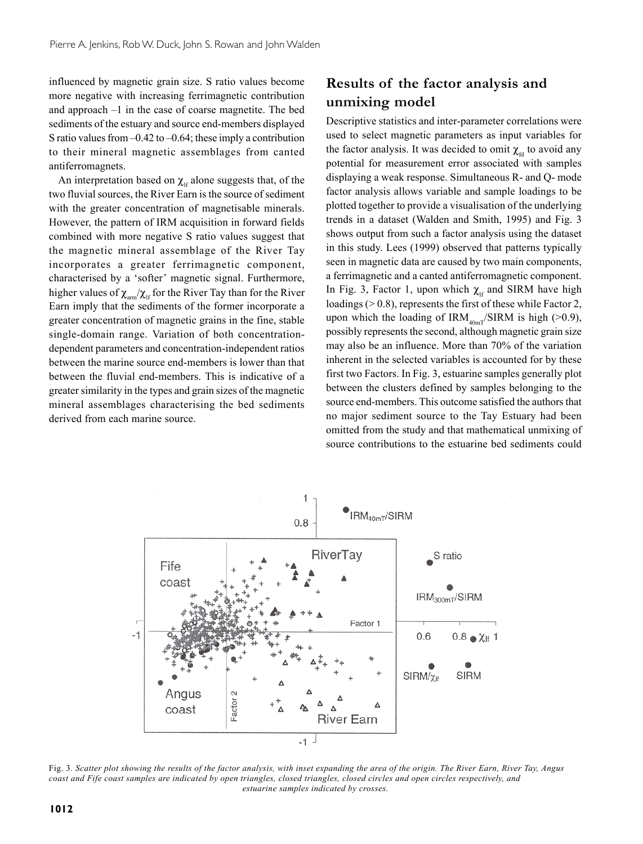influenced by magnetic grain size. S ratio values become more negative with increasing ferrimagnetic contribution and approach –1 in the case of coarse magnetite. The bed sediments of the estuary and source end-members displayed S ratio values from –0.42 to –0.64; these imply a contribution to their mineral magnetic assemblages from canted antiferromagnets.

An interpretation based on  $\chi$ <sub>If</sub> alone suggests that, of the two fluvial sources, the River Earn is the source of sediment with the greater concentration of magnetisable minerals. However, the pattern of IRM acquisition in forward fields combined with more negative S ratio values suggest that the magnetic mineral assemblage of the River Tay incorporates a greater ferrimagnetic component, characterised by a 'softer' magnetic signal. Furthermore, higher values of  $\chi_{\text{arm}}/\chi_{\text{lf}}$  for the River Tay than for the River Earn imply that the sediments of the former incorporate a greater concentration of magnetic grains in the fine, stable single-domain range. Variation of both concentrationdependent parameters and concentration-independent ratios between the marine source end-members is lower than that between the fluvial end-members. This is indicative of a greater similarity in the types and grain sizes of the magnetic mineral assemblages characterising the bed sediments derived from each marine source.

# **Results of the factor analysis and unmixing model**

Descriptive statistics and inter-parameter correlations were used to select magnetic parameters as input variables for the factor analysis. It was decided to omit  $\chi_{\text{eq}}$  to avoid any potential for measurement error associated with samples displaying a weak response. Simultaneous R- and Q- mode factor analysis allows variable and sample loadings to be plotted together to provide a visualisation of the underlying trends in a dataset (Walden and Smith, 1995) and Fig. 3 shows output from such a factor analysis using the dataset in this study. Lees (1999) observed that patterns typically seen in magnetic data are caused by two main components, a ferrimagnetic and a canted antiferromagnetic component. In Fig. 3, Factor 1, upon which  $\chi_{\text{lf}}$  and SIRM have high loadings (> 0.8), represents the first of these while Factor 2, upon which the loading of  $\text{IRM}_{40\text{mT}}/\text{SIRM}$  is high (>0.9), possibly represents the second, although magnetic grain size may also be an influence. More than 70% of the variation inherent in the selected variables is accounted for by these first two Factors. In Fig. 3, estuarine samples generally plot between the clusters defined by samples belonging to the source end-members. This outcome satisfied the authors that no major sediment source to the Tay Estuary had been omitted from the study and that mathematical unmixing of source contributions to the estuarine bed sediments could



Fig. 3*. Scatter plot showing the results of the factor analysis, with inset expanding the area of the origin. The River Earn, River Tay, Angus coast and Fife coast samples are indicated by open triangles, closed triangles, closed circles and open circles respectively, and estuarine samples indicated by crosses.*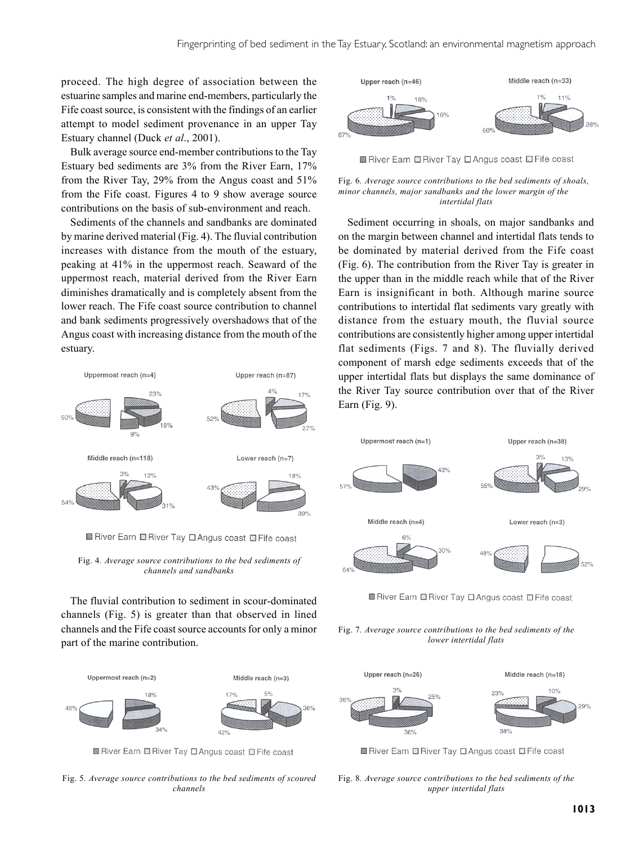proceed. The high degree of association between the estuarine samples and marine end-members, particularly the Fife coast source, is consistent with the findings of an earlier attempt to model sediment provenance in an upper Tay Estuary channel (Duck *et al*., 2001).

Bulk average source end-member contributions to the Tay Estuary bed sediments are 3% from the River Earn, 17% from the River Tay, 29% from the Angus coast and 51% from the Fife coast. Figures 4 to 9 show average source contributions on the basis of sub-environment and reach.

Sediments of the channels and sandbanks are dominated by marine derived material (Fig. 4). The fluvial contribution increases with distance from the mouth of the estuary, peaking at 41% in the uppermost reach. Seaward of the uppermost reach, material derived from the River Earn diminishes dramatically and is completely absent from the lower reach. The Fife coast source contribution to channel and bank sediments progressively overshadows that of the Angus coast with increasing distance from the mouth of the estuary.



■ River Earn ■ River Tay □ Angus coast □ Fife coast

Fig. 4*. Average source contributions to the bed sediments of channels and sandbanks*

The fluvial contribution to sediment in scour-dominated channels (Fig. 5) is greater than that observed in lined channels and the Fife coast source accounts for only a minor part of the marine contribution.



■ River Earn ■ River Tay □ Angus coast □ Fife coast

Fig. 5*. Average source contributions to the bed sediments of scoured channels*



■ River Earn ■ River Tay □ Angus coast □ Fife coast



Sediment occurring in shoals, on major sandbanks and on the margin between channel and intertidal flats tends to be dominated by material derived from the Fife coast (Fig. 6). The contribution from the River Tay is greater in the upper than in the middle reach while that of the River Earn is insignificant in both. Although marine source contributions to intertidal flat sediments vary greatly with distance from the estuary mouth, the fluvial source contributions are consistently higher among upper intertidal flat sediments (Figs. 7 and 8). The fluvially derived component of marsh edge sediments exceeds that of the upper intertidal flats but displays the same dominance of the River Tay source contribution over that of the River Earn (Fig. 9).



■ River Earn ■ River Tay □ Angus coast □ Fife coast





■ River Earn ■ River Tay □ Angus coast □ Fife coast

Fig. 8*. Average source contributions to the bed sediments of the upper intertidal flats*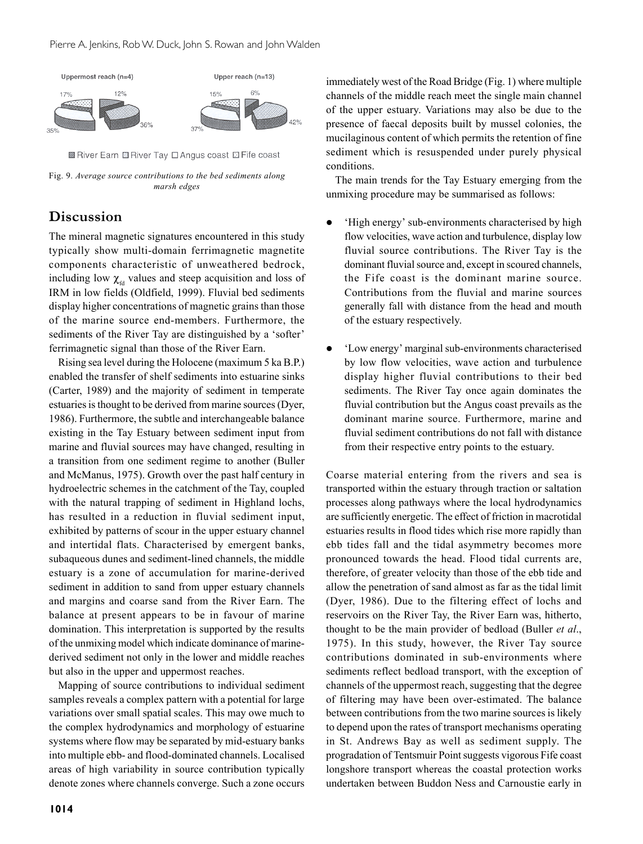

River Earn E River Tay D Angus coast E Fife coast

Fig. 9. *Average source contributions to the bed sediments along marsh edges*

## **Discussion**

The mineral magnetic signatures encountered in this study typically show multi-domain ferrimagnetic magnetite components characteristic of unweathered bedrock, including low  $\chi_{\rm d}$  values and steep acquisition and loss of IRM in low fields (Oldfield, 1999). Fluvial bed sediments display higher concentrations of magnetic grains than those of the marine source end-members. Furthermore, the sediments of the River Tay are distinguished by a 'softer' ferrimagnetic signal than those of the River Earn.

Rising sea level during the Holocene (maximum 5 ka B.P.) enabled the transfer of shelf sediments into estuarine sinks (Carter, 1989) and the majority of sediment in temperate estuaries is thought to be derived from marine sources (Dyer, 1986). Furthermore, the subtle and interchangeable balance existing in the Tay Estuary between sediment input from marine and fluvial sources may have changed, resulting in a transition from one sediment regime to another (Buller and McManus, 1975). Growth over the past half century in hydroelectric schemes in the catchment of the Tay, coupled with the natural trapping of sediment in Highland lochs, has resulted in a reduction in fluvial sediment input, exhibited by patterns of scour in the upper estuary channel and intertidal flats. Characterised by emergent banks, subaqueous dunes and sediment-lined channels, the middle estuary is a zone of accumulation for marine-derived sediment in addition to sand from upper estuary channels and margins and coarse sand from the River Earn. The balance at present appears to be in favour of marine domination. This interpretation is supported by the results of the unmixing model which indicate dominance of marinederived sediment not only in the lower and middle reaches but also in the upper and uppermost reaches.

Mapping of source contributions to individual sediment samples reveals a complex pattern with a potential for large variations over small spatial scales. This may owe much to the complex hydrodynamics and morphology of estuarine systems where flow may be separated by mid-estuary banks into multiple ebb- and flood-dominated channels. Localised areas of high variability in source contribution typically denote zones where channels converge. Such a zone occurs immediately west of the Road Bridge (Fig. 1) where multiple channels of the middle reach meet the single main channel of the upper estuary. Variations may also be due to the presence of faecal deposits built by mussel colonies, the mucilaginous content of which permits the retention of fine sediment which is resuspended under purely physical conditions.

The main trends for the Tay Estuary emerging from the unmixing procedure may be summarised as follows:

- 'High energy' sub-environments characterised by high flow velocities, wave action and turbulence, display low fluvial source contributions. The River Tay is the dominant fluvial source and, except in scoured channels, the Fife coast is the dominant marine source. Contributions from the fluvial and marine sources generally fall with distance from the head and mouth of the estuary respectively.
- 'Low energy' marginal sub-environments characterised by low flow velocities, wave action and turbulence display higher fluvial contributions to their bed sediments. The River Tay once again dominates the fluvial contribution but the Angus coast prevails as the dominant marine source. Furthermore, marine and fluvial sediment contributions do not fall with distance from their respective entry points to the estuary.

Coarse material entering from the rivers and sea is transported within the estuary through traction or saltation processes along pathways where the local hydrodynamics are sufficiently energetic. The effect of friction in macrotidal estuaries results in flood tides which rise more rapidly than ebb tides fall and the tidal asymmetry becomes more pronounced towards the head. Flood tidal currents are, therefore, of greater velocity than those of the ebb tide and allow the penetration of sand almost as far as the tidal limit (Dyer, 1986). Due to the filtering effect of lochs and reservoirs on the River Tay, the River Earn was, hitherto, thought to be the main provider of bedload (Buller *et al*., 1975). In this study, however, the River Tay source contributions dominated in sub-environments where sediments reflect bedload transport, with the exception of channels of the uppermost reach, suggesting that the degree of filtering may have been over-estimated. The balance between contributions from the two marine sources is likely to depend upon the rates of transport mechanisms operating in St. Andrews Bay as well as sediment supply. The progradation of Tentsmuir Point suggests vigorous Fife coast longshore transport whereas the coastal protection works undertaken between Buddon Ness and Carnoustie early in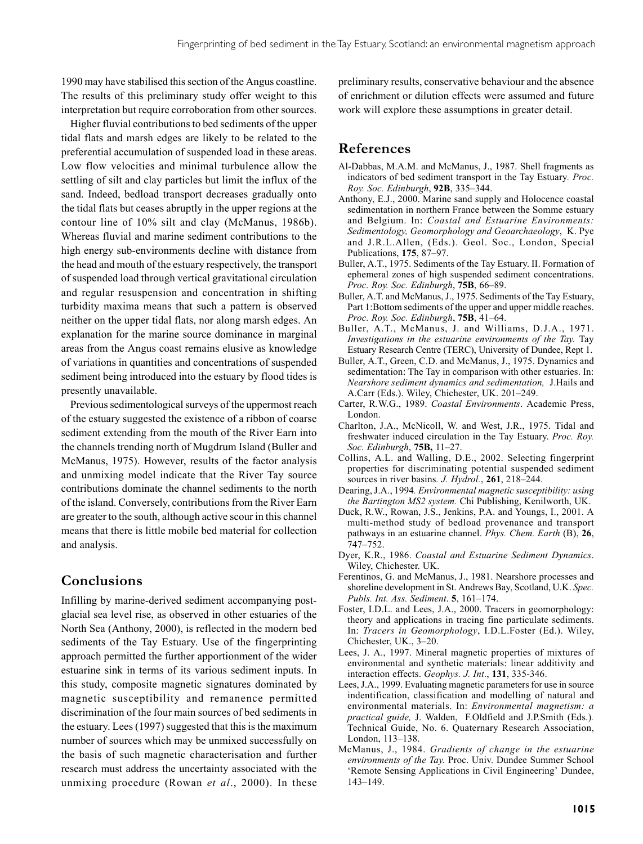1990 may have stabilised this section of the Angus coastline. The results of this preliminary study offer weight to this interpretation but require corroboration from other sources.

Higher fluvial contributions to bed sediments of the upper tidal flats and marsh edges are likely to be related to the preferential accumulation of suspended load in these areas. Low flow velocities and minimal turbulence allow the settling of silt and clay particles but limit the influx of the sand. Indeed, bedload transport decreases gradually onto the tidal flats but ceases abruptly in the upper regions at the contour line of 10% silt and clay (McManus, 1986b). Whereas fluvial and marine sediment contributions to the high energy sub-environments decline with distance from the head and mouth of the estuary respectively, the transport of suspended load through vertical gravitational circulation and regular resuspension and concentration in shifting turbidity maxima means that such a pattern is observed neither on the upper tidal flats, nor along marsh edges. An explanation for the marine source dominance in marginal areas from the Angus coast remains elusive as knowledge of variations in quantities and concentrations of suspended sediment being introduced into the estuary by flood tides is presently unavailable.

Previous sedimentological surveys of the uppermost reach of the estuary suggested the existence of a ribbon of coarse sediment extending from the mouth of the River Earn into the channels trending north of Mugdrum Island (Buller and McManus, 1975). However, results of the factor analysis and unmixing model indicate that the River Tay source contributions dominate the channel sediments to the north of the island. Conversely, contributions from the River Earn are greater to the south, although active scour in this channel means that there is little mobile bed material for collection and analysis.

## **Conclusions**

Infilling by marine-derived sediment accompanying postglacial sea level rise, as observed in other estuaries of the North Sea (Anthony, 2000), is reflected in the modern bed sediments of the Tay Estuary. Use of the fingerprinting approach permitted the further apportionment of the wider estuarine sink in terms of its various sediment inputs. In this study, composite magnetic signatures dominated by magnetic susceptibility and remanence permitted discrimination of the four main sources of bed sediments in the estuary. Lees (1997) suggested that this is the maximum number of sources which may be unmixed successfully on the basis of such magnetic characterisation and further research must address the uncertainty associated with the unmixing procedure (Rowan *et al*., 2000). In these

preliminary results, conservative behaviour and the absence of enrichment or dilution effects were assumed and future work will explore these assumptions in greater detail.

## **References**

- Al-Dabbas, M.A.M. and McManus, J., 1987. Shell fragments as indicators of bed sediment transport in the Tay Estuary*. Proc. Roy. Soc. Edinburgh*, **92B**, 335–344.
- Anthony, E.J., 2000. Marine sand supply and Holocence coastal sedimentation in northern France between the Somme estuary and Belgium. In: *Coastal and Estuarine Environments: Sedimentology, Geomorphology and Geoarchaeology*, K. Pye and J.R.L.Allen, (Eds.). Geol. Soc., London, Special Publications, **175**, 87–97.
- Buller, A.T., 1975. Sediments of the Tay Estuary. II. Formation of ephemeral zones of high suspended sediment concentrations. *Proc. Roy. Soc. Edinburgh*, **75B**, 66–89.
- Buller, A.T. and McManus, J., 1975. Sediments of the Tay Estuary, Part 1:Bottom sediments of the upper and upper middle reaches. *Proc. Roy. Soc. Edinburgh*, **75B**, 41–64.
- Buller, A.T., McManus, J. and Williams, D.J.A., 1971. *Investigations in the estuarine environments of the Tay.* Tay Estuary Research Centre (TERC), University of Dundee, Rept 1.
- Buller, A.T., Green, C.D. and McManus, J., 1975. Dynamics and sedimentation: The Tay in comparison with other estuaries. In: *Nearshore sediment dynamics and sedimentation,* J.Hails and A.Carr (Eds.). Wiley, Chichester, UK. 201–249.
- Carter, R.W.G., 1989. *Coastal Environments*. Academic Press, London.
- Charlton, J.A., McNicoll, W. and West, J.R., 1975. Tidal and freshwater induced circulation in the Tay Estuary. *Proc. Roy. Soc. Edinburgh*, **75B,** 11–27.
- Collins, A.L. and Walling, D.E., 2002. Selecting fingerprint properties for discriminating potential suspended sediment sources in river basins*. J. Hydrol.*, **261**, 218–244.
- Dearing, J.A., 1994*. Environmental magnetic susceptibility: using the Bartington MS2 system.* Chi Publishing, Kenilworth, UK.
- Duck, R.W., Rowan, J.S., Jenkins, P.A. and Youngs, I., 2001. A multi-method study of bedload provenance and transport pathways in an estuarine channel. *Phys. Chem. Earth* (B), **26**, 747–752.
- Dyer, K.R., 1986. *Coastal and Estuarine Sediment Dynamics*. Wiley, Chichester. UK.
- Ferentinos, G. and McManus, J., 1981. Nearshore processes and shoreline development in St. Andrews Bay, Scotland, U.K. *Spec. Publs. Int. Ass. Sediment*. **5**, 161–174.
- Foster, I.D.L. and Lees, J.A., 2000. Tracers in geomorphology: theory and applications in tracing fine particulate sediments. In: *Tracers in Geomorphology*, I.D.L.Foster (Ed.). Wiley, Chichester, UK., 3–20.
- Lees, J. A., 1997. Mineral magnetic properties of mixtures of environmental and synthetic materials: linear additivity and interaction effects. *Geophys. J. Int*., **131**, 335-346.
- Lees, J.A., 1999. Evaluating magnetic parameters for use in source indentification, classification and modelling of natural and environmental materials. In: *Environmental magnetism: a practical guide,* J. Walden, F.Oldfield and J.P.Smith (Eds.)*.* Technical Guide, No. 6. Quaternary Research Association, London, 113–138.
- McManus, J., 1984. *Gradients of change in the estuarine environments of the Tay.* Proc. Univ. Dundee Summer School 'Remote Sensing Applications in Civil Engineering' Dundee, 143–149.